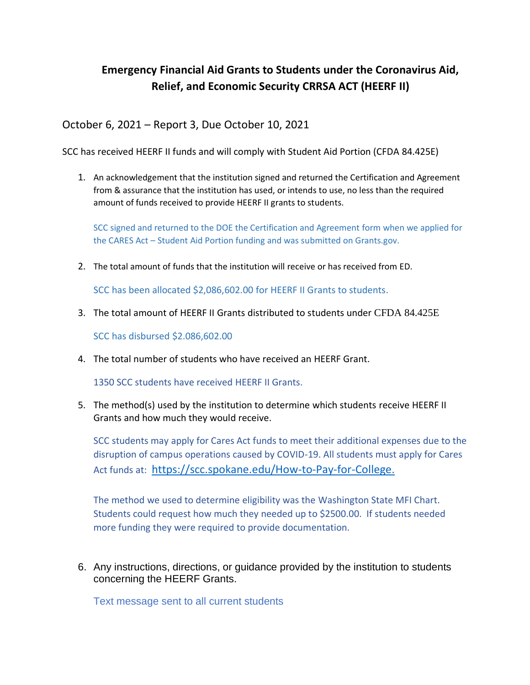## **Emergency Financial Aid Grants to Students under the Coronavirus Aid, Relief, and Economic Security CRRSA ACT (HEERF II)**

October 6, 2021 – Report 3, Due October 10, 2021

SCC has received HEERF II funds and will comply with Student Aid Portion (CFDA 84.425E)

1. An acknowledgement that the institution signed and returned the Certification and Agreement from & assurance that the institution has used, or intends to use, no less than the required amount of funds received to provide HEERF II grants to students.

SCC signed and returned to the DOE the Certification and Agreement form when we applied for the CARES Act – Student Aid Portion funding and was submitted on Grants.gov.

2. The total amount of funds that the institution will receive or has received from ED.

SCC has been allocated \$2,086,602.00 for HEERF II Grants to students.

3. The total amount of HEERF II Grants distributed to students under CFDA 84.425E

SCC has disbursed \$2.086,602.00

4. The total number of students who have received an HEERF Grant.

1350 SCC students have received HEERF II Grants.

5. The method(s) used by the institution to determine which students receive HEERF II Grants and how much they would receive.

SCC students may apply for Cares Act funds to meet their additional expenses due to the disruption of campus operations caused by COVID-19. All students must apply for Cares Act funds at: [https://scc.spokane.edu/How-to-Pay-for-College.](https://scc.spokane.edu/How-to-Pay-for-College)

The method we used to determine eligibility was the Washington State MFI Chart. Students could request how much they needed up to \$2500.00. If students needed more funding they were required to provide documentation.

6. Any instructions, directions, or guidance provided by the institution to students concerning the HEERF Grants.

Text message sent to all current students